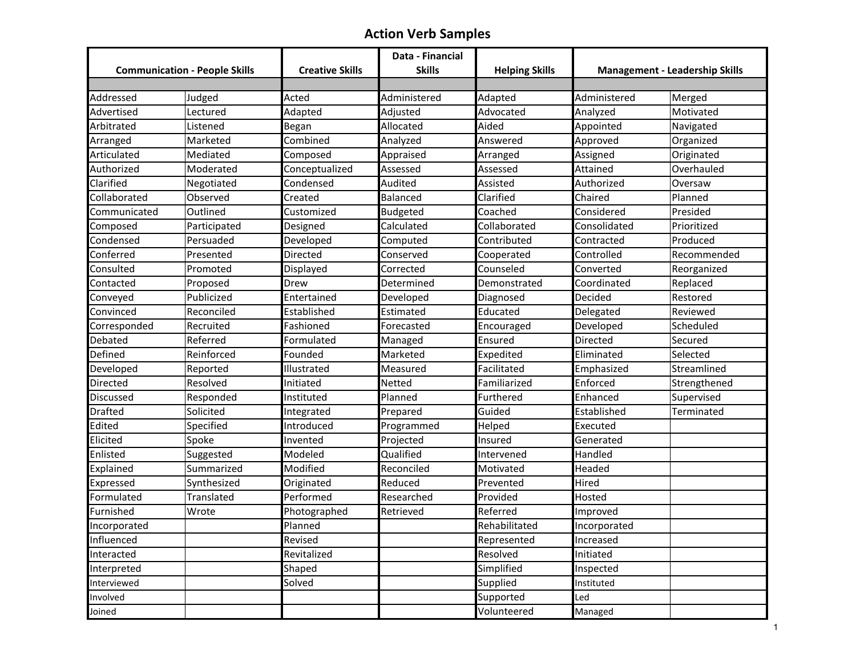## **Action Verb Samples**

|                                      |              |                        | Data - Financial |                       |              |                                       |
|--------------------------------------|--------------|------------------------|------------------|-----------------------|--------------|---------------------------------------|
| <b>Communication - People Skills</b> |              | <b>Creative Skills</b> | <b>Skills</b>    | <b>Helping Skills</b> |              | <b>Management - Leadership Skills</b> |
|                                      |              |                        |                  |                       |              |                                       |
| Addressed                            | Judged       | Acted                  | Administered     | Adapted               | Administered | Merged                                |
| Advertised                           | Lectured     | Adapted                | Adjusted         | Advocated             | Analyzed     | Motivated                             |
| Arbitrated                           | Listened     | Began                  | Allocated        | Aided                 | Appointed    | Navigated                             |
| Arranged                             | Marketed     | Combined               | Analyzed         | Answered              | Approved     | Organized                             |
| Articulated                          | Mediated     | Composed               | Appraised        | Arranged              | Assigned     | Originated                            |
| Authorized                           | Moderated    | Conceptualized         | Assessed         | Assessed              | Attained     | Overhauled                            |
| Clarified                            | Negotiated   | Condensed              | Audited          | Assisted              | Authorized   | Oversaw                               |
| Collaborated                         | Observed     | Created                | Balanced         | Clarified             | Chaired      | Planned                               |
| Communicated                         | Outlined     | Customized             | <b>Budgeted</b>  | Coached               | Considered   | Presided                              |
| Composed                             | Participated | Designed               | Calculated       | Collaborated          | Consolidated | Prioritized                           |
| Condensed                            | Persuaded    | Developed              | Computed         | Contributed           | Contracted   | Produced                              |
| Conferred                            | Presented    | Directed               | Conserved        | Cooperated            | Controlled   | Recommended                           |
| Consulted                            | Promoted     | Displayed              | Corrected        | Counseled             | Converted    | Reorganized                           |
| Contacted                            | Proposed     | Drew                   | Determined       | Demonstrated          | Coordinated  | Replaced                              |
| Conveyed                             | Publicized   | Entertained            | Developed        | Diagnosed             | Decided      | Restored                              |
| Convinced                            | Reconciled   | Established            | Estimated        | Educated              | Delegated    | Reviewed                              |
| Corresponded                         | Recruited    | Fashioned              | Forecasted       | Encouraged            | Developed    | Scheduled                             |
| Debated                              | Referred     | Formulated             | Managed          | Ensured               | Directed     | Secured                               |
| Defined                              | Reinforced   | Founded                | Marketed         | Expedited             | Eliminated   | Selected                              |
| Developed                            | Reported     | Illustrated            | Measured         | Facilitated           | Emphasized   | Streamlined                           |
| Directed                             | Resolved     | Initiated              | Netted           | Familiarized          | Enforced     | Strengthened                          |
| Discussed                            | Responded    | Instituted             | Planned          | Furthered             | Enhanced     | Supervised                            |
| <b>Drafted</b>                       | Solicited    | Integrated             | Prepared         | Guided                | Established  | Terminated                            |
| Edited                               | Specified    | Introduced             | Programmed       | Helped                | Executed     |                                       |
| Elicited                             | Spoke        | Invented               | Projected        | Insured               | Generated    |                                       |
| Enlisted                             | Suggested    | Modeled                | Qualified        | Intervened            | Handled      |                                       |
| Explained                            | Summarized   | Modified               | Reconciled       | Motivated             | Headed       |                                       |
| Expressed                            | Synthesized  | Originated             | Reduced          | Prevented             | Hired        |                                       |
| Formulated                           | Translated   | Performed              | Researched       | Provided              | Hosted       |                                       |
| Furnished                            | Wrote        | Photographed           | Retrieved        | Referred              | Improved     |                                       |
| Incorporated                         |              | Planned                |                  | Rehabilitated         | Incorporated |                                       |
| Influenced                           |              | Revised                |                  | Represented           | Increased    |                                       |
| Interacted                           |              | Revitalized            |                  | Resolved              | Initiated    |                                       |
| Interpreted                          |              | Shaped                 |                  | Simplified            | Inspected    |                                       |
| Interviewed                          |              | Solved                 |                  | Supplied              | Instituted   |                                       |
| Involved                             |              |                        |                  | Supported             | Led          |                                       |
| Joined                               |              |                        |                  | Volunteered           | Managed      |                                       |